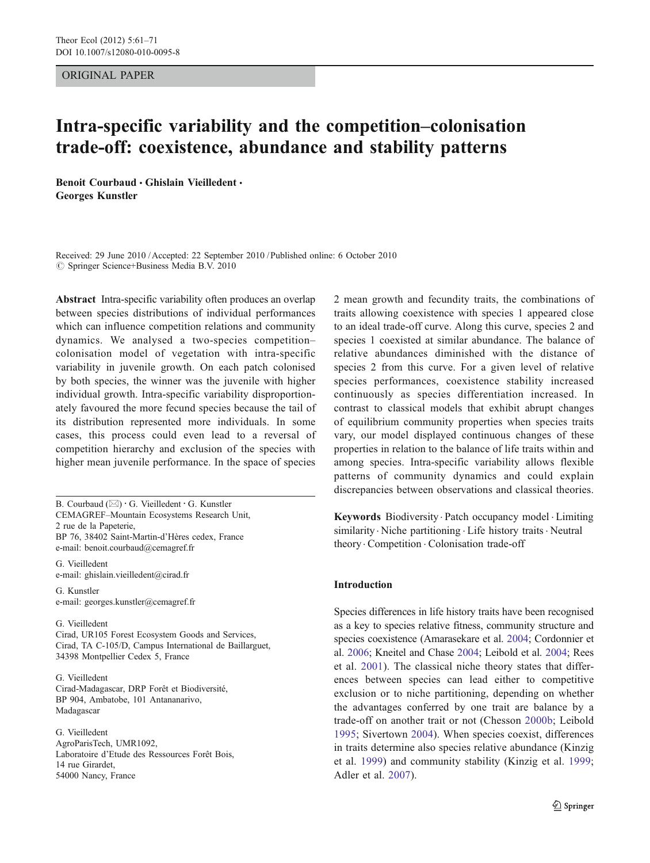#### ORIGINAL PAPER

# Intra-specific variability and the competition–colonisation trade-off: coexistence, abundance and stability patterns

Benoit Courbaud • Ghislain Vieilledent • Georges Kunstler

Received: 29 June 2010 /Accepted: 22 September 2010 / Published online: 6 October 2010  $\circledcirc$  Springer Science+Business Media B.V. 2010

Abstract Intra-specific variability often produces an overlap between species distributions of individual performances which can influence competition relations and community dynamics. We analysed a two-species competition– colonisation model of vegetation with intra-specific variability in juvenile growth. On each patch colonised by both species, the winner was the juvenile with higher individual growth. Intra-specific variability disproportionately favoured the more fecund species because the tail of its distribution represented more individuals. In some cases, this process could even lead to a reversal of competition hierarchy and exclusion of the species with higher mean juvenile performance. In the space of species

B. Courbaud ( $\boxtimes$ ) · G. Vieilledent · G. Kunstler CEMAGREF–Mountain Ecosystems Research Unit, 2 rue de la Papeterie, BP 76, 38402 Saint-Martin-d'Hères cedex, France e-mail: benoit.courbaud@cemagref.fr

G. Vieilledent e-mail: ghislain.vieilledent@cirad.fr

G. Kunstler e-mail: georges.kunstler@cemagref.fr

G. Vieilledent

Cirad, UR105 Forest Ecosystem Goods and Services, Cirad, TA C-105/D, Campus International de Baillarguet, 34398 Montpellier Cedex 5, France

G. Vieilledent Cirad-Madagascar, DRP Forêt et Biodiversité, BP 904, Ambatobe, 101 Antananarivo, Madagascar

G. Vieilledent AgroParisTech, UMR1092, Laboratoire d'Etude des Ressources Forêt Bois, 14 rue Girardet, 54000 Nancy, France

2 mean growth and fecundity traits, the combinations of traits allowing coexistence with species 1 appeared close to an ideal trade-off curve. Along this curve, species 2 and species 1 coexisted at similar abundance. The balance of relative abundances diminished with the distance of species 2 from this curve. For a given level of relative species performances, coexistence stability increased continuously as species differentiation increased. In contrast to classical models that exhibit abrupt changes of equilibrium community properties when species traits vary, our model displayed continuous changes of these properties in relation to the balance of life traits within and among species. Intra-specific variability allows flexible patterns of community dynamics and could explain discrepancies between observations and classical theories.

Keywords Biodiversity . Patch occupancy model . Limiting similarity. Niche partitioning . Life history traits . Neutral theory. Competition . Colonisation trade-off

### Introduction

Species differences in life history traits have been recognised as a key to species relative fitness, community structure and species coexistence (Amarasekare et al. [2004](#page-9-0); Cordonnier et al. [2006](#page-9-0); Kneitel and Chase [2004;](#page-9-0) Leibold et al. [2004;](#page-9-0) Rees et al. [2001](#page-9-0)). The classical niche theory states that differences between species can lead either to competitive exclusion or to niche partitioning, depending on whether the advantages conferred by one trait are balance by a trade-off on another trait or not (Chesson [2000b;](#page-9-0) Leibold [1995](#page-9-0); Sivertown [2004](#page-10-0)). When species coexist, differences in traits determine also species relative abundance (Kinzig et al. [1999\)](#page-9-0) and community stability (Kinzig et al. [1999;](#page-9-0) Adler et al. [2007](#page-9-0)).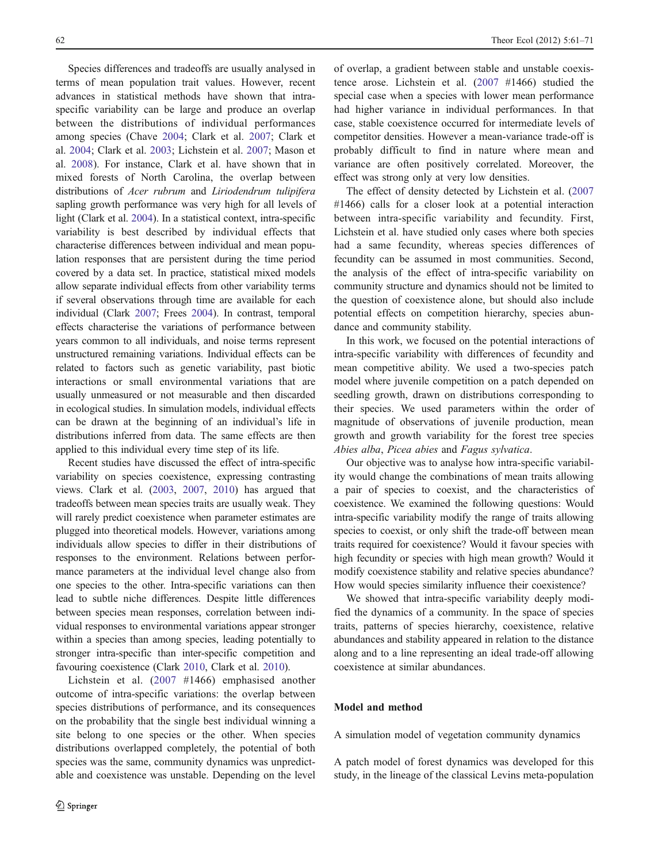Species differences and tradeoffs are usually analysed in terms of mean population trait values. However, recent advances in statistical methods have shown that intraspecific variability can be large and produce an overlap between the distributions of individual performances among species (Chave [2004;](#page-9-0) Clark et al. [2007](#page-9-0); Clark et al. [2004;](#page-9-0) Clark et al. [2003](#page-9-0); Lichstein et al. [2007](#page-9-0); Mason et al. [2008](#page-9-0)). For instance, Clark et al. have shown that in mixed forests of North Carolina, the overlap between distributions of Acer rubrum and Liriodendrum tulipifera sapling growth performance was very high for all levels of light (Clark et al. [2004](#page-9-0)). In a statistical context, intra-specific variability is best described by individual effects that characterise differences between individual and mean population responses that are persistent during the time period covered by a data set. In practice, statistical mixed models allow separate individual effects from other variability terms if several observations through time are available for each individual (Clark [2007](#page-9-0); Frees [2004](#page-9-0)). In contrast, temporal effects characterise the variations of performance between years common to all individuals, and noise terms represent unstructured remaining variations. Individual effects can be related to factors such as genetic variability, past biotic interactions or small environmental variations that are usually unmeasured or not measurable and then discarded in ecological studies. In simulation models, individual effects can be drawn at the beginning of an individual's life in distributions inferred from data. The same effects are then applied to this individual every time step of its life.

Recent studies have discussed the effect of intra-specific variability on species coexistence, expressing contrasting views. Clark et al. ([2003](#page-9-0), [2007](#page-9-0), [2010](#page-9-0)) has argued that tradeoffs between mean species traits are usually weak. They will rarely predict coexistence when parameter estimates are plugged into theoretical models. However, variations among individuals allow species to differ in their distributions of responses to the environment. Relations between performance parameters at the individual level change also from one species to the other. Intra-specific variations can then lead to subtle niche differences. Despite little differences between species mean responses, correlation between individual responses to environmental variations appear stronger within a species than among species, leading potentially to stronger intra-specific than inter-specific competition and favouring coexistence (Clark [2010,](#page-9-0) Clark et al. [2010\)](#page-9-0).

Lichstein et al. ([2007](#page-9-0) #1466) emphasised another outcome of intra-specific variations: the overlap between species distributions of performance, and its consequences on the probability that the single best individual winning a site belong to one species or the other. When species distributions overlapped completely, the potential of both species was the same, community dynamics was unpredictable and coexistence was unstable. Depending on the level of overlap, a gradient between stable and unstable coexistence arose. Lichstein et al. [\(2007](#page-9-0) #1466) studied the special case when a species with lower mean performance had higher variance in individual performances. In that case, stable coexistence occurred for intermediate levels of competitor densities. However a mean-variance trade-off is probably difficult to find in nature where mean and variance are often positively correlated. Moreover, the effect was strong only at very low densities.

The effect of density detected by Lichstein et al. [\(2007](#page-9-0) #1466) calls for a closer look at a potential interaction between intra-specific variability and fecundity. First, Lichstein et al. have studied only cases where both species had a same fecundity, whereas species differences of fecundity can be assumed in most communities. Second, the analysis of the effect of intra-specific variability on community structure and dynamics should not be limited to the question of coexistence alone, but should also include potential effects on competition hierarchy, species abundance and community stability.

In this work, we focused on the potential interactions of intra-specific variability with differences of fecundity and mean competitive ability. We used a two-species patch model where juvenile competition on a patch depended on seedling growth, drawn on distributions corresponding to their species. We used parameters within the order of magnitude of observations of juvenile production, mean growth and growth variability for the forest tree species Abies alba, Picea abies and Fagus sylvatica.

Our objective was to analyse how intra-specific variability would change the combinations of mean traits allowing a pair of species to coexist, and the characteristics of coexistence. We examined the following questions: Would intra-specific variability modify the range of traits allowing species to coexist, or only shift the trade-off between mean traits required for coexistence? Would it favour species with high fecundity or species with high mean growth? Would it modify coexistence stability and relative species abundance? How would species similarity influence their coexistence?

We showed that intra-specific variability deeply modified the dynamics of a community. In the space of species traits, patterns of species hierarchy, coexistence, relative abundances and stability appeared in relation to the distance along and to a line representing an ideal trade-off allowing coexistence at similar abundances.

## Model and method

A simulation model of vegetation community dynamics

A patch model of forest dynamics was developed for this study, in the lineage of the classical Levins meta-population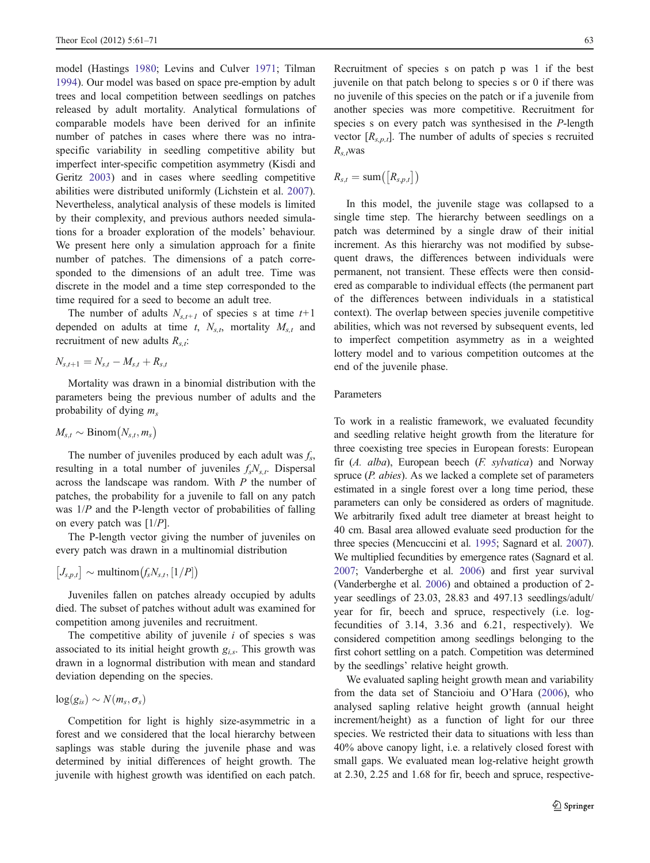model (Hastings [1980](#page-9-0); Levins and Culver [1971](#page-9-0); Tilman [1994\)](#page-10-0). Our model was based on space pre-emption by adult trees and local competition between seedlings on patches released by adult mortality. Analytical formulations of comparable models have been derived for an infinite number of patches in cases where there was no intraspecific variability in seedling competitive ability but imperfect inter-specific competition asymmetry (Kisdi and Geritz [2003\)](#page-9-0) and in cases where seedling competitive abilities were distributed uniformly (Lichstein et al. [2007](#page-9-0)). Nevertheless, analytical analysis of these models is limited by their complexity, and previous authors needed simulations for a broader exploration of the models' behaviour. We present here only a simulation approach for a finite number of patches. The dimensions of a patch corresponded to the dimensions of an adult tree. Time was discrete in the model and a time step corresponded to the time required for a seed to become an adult tree.

The number of adults  $N_{s,t+1}$  of species s at time  $t+1$ depended on adults at time t,  $N_{s,t}$ , mortality  $M_{s,t}$  and recruitment of new adults  $R_{s,t}$ :

$$
N_{s,t+1} = N_{s,t} - M_{s,t} + R_{s,t}
$$

Mortality was drawn in a binomial distribution with the parameters being the previous number of adults and the probability of dying  $m_s$ 

$$
M_{s,t} \sim \text{Binom}\big(N_{s,t},m_s\big)
$$

The number of juveniles produced by each adult was  $f_s$ , resulting in a total number of juveniles  $f_sN_{s,t}$ . Dispersal across the landscape was random. With  $P$  the number of patches, the probability for a juvenile to fall on any patch was  $1/P$  and the P-length vector of probabilities of falling on every patch was  $[1/P]$ .

The P-length vector giving the number of juveniles on every patch was drawn in a multinomial distribution

$$
[J_{s,p,t}] \sim \text{multinom}(f_s N_{s,t}, [1/P])
$$

Juveniles fallen on patches already occupied by adults died. The subset of patches without adult was examined for competition among juveniles and recruitment.

The competitive ability of juvenile  $i$  of species s was associated to its initial height growth  $g_{i,s}$ . This growth was drawn in a lognormal distribution with mean and standard deviation depending on the species.

$$
\log(g_{is}) \sim N(m_s, \sigma_s)
$$

Competition for light is highly size-asymmetric in a forest and we considered that the local hierarchy between saplings was stable during the juvenile phase and was determined by initial differences of height growth. The juvenile with highest growth was identified on each patch.

Recruitment of species s on patch p was 1 if the best juvenile on that patch belong to species s or 0 if there was no juvenile of this species on the patch or if a juvenile from another species was more competitive. Recruitment for species s on every patch was synthesised in the P-length vector  $[R_{s,p,t}]$ . The number of adults of species s recruited  $R<sub>s</sub>$ , was

 $R_{s,t} = \text{sum}([R_{s,p,t}])$ 

In this model, the juvenile stage was collapsed to a single time step. The hierarchy between seedlings on a patch was determined by a single draw of their initial increment. As this hierarchy was not modified by subsequent draws, the differences between individuals were permanent, not transient. These effects were then considered as comparable to individual effects (the permanent part of the differences between individuals in a statistical context). The overlap between species juvenile competitive abilities, which was not reversed by subsequent events, led to imperfect competition asymmetry as in a weighted lottery model and to various competition outcomes at the end of the juvenile phase.

#### Parameters

To work in a realistic framework, we evaluated fecundity and seedling relative height growth from the literature for three coexisting tree species in European forests: European fir  $(A.$  alba), European beech  $(F.$  sylvatica) and Norway spruce (P. abies). As we lacked a complete set of parameters estimated in a single forest over a long time period, these parameters can only be considered as orders of magnitude. We arbitrarily fixed adult tree diameter at breast height to 40 cm. Basal area allowed evaluate seed production for the three species (Mencuccini et al. [1995;](#page-9-0) Sagnard et al. [2007\)](#page-9-0). We multiplied fecundities by emergence rates (Sagnard et al. [2007;](#page-9-0) Vanderberghe et al. [2006](#page-10-0)) and first year survival (Vanderberghe et al. [2006\)](#page-10-0) and obtained a production of 2 year seedlings of 23.03, 28.83 and 497.13 seedlings/adult/ year for fir, beech and spruce, respectively (i.e. logfecundities of 3.14, 3.36 and 6.21, respectively). We considered competition among seedlings belonging to the first cohort settling on a patch. Competition was determined by the seedlings' relative height growth.

We evaluated sapling height growth mean and variability from the data set of Stancioiu and O'Hara ([2006](#page-10-0)), who analysed sapling relative height growth (annual height increment/height) as a function of light for our three species. We restricted their data to situations with less than 40% above canopy light, i.e. a relatively closed forest with small gaps. We evaluated mean log-relative height growth at 2.30, 2.25 and 1.68 for fir, beech and spruce, respective-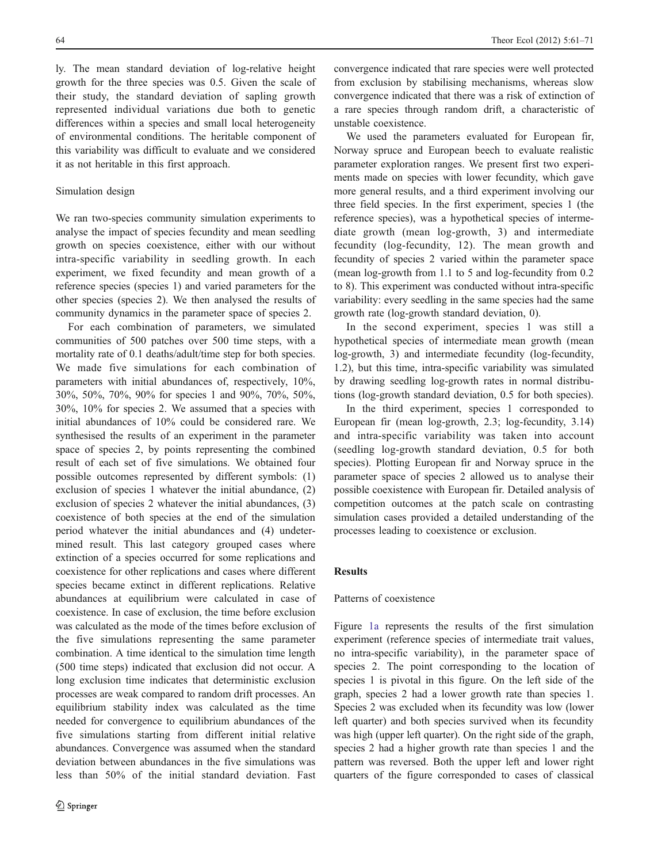ly. The mean standard deviation of log-relative height growth for the three species was 0.5. Given the scale of their study, the standard deviation of sapling growth represented individual variations due both to genetic differences within a species and small local heterogeneity of environmental conditions. The heritable component of this variability was difficult to evaluate and we considered it as not heritable in this first approach.

### Simulation design

We ran two-species community simulation experiments to analyse the impact of species fecundity and mean seedling growth on species coexistence, either with our without intra-specific variability in seedling growth. In each experiment, we fixed fecundity and mean growth of a reference species (species 1) and varied parameters for the other species (species 2). We then analysed the results of community dynamics in the parameter space of species 2.

For each combination of parameters, we simulated communities of 500 patches over 500 time steps, with a mortality rate of 0.1 deaths/adult/time step for both species. We made five simulations for each combination of parameters with initial abundances of, respectively, 10%, 30%, 50%, 70%, 90% for species 1 and 90%, 70%, 50%, 30%, 10% for species 2. We assumed that a species with initial abundances of 10% could be considered rare. We synthesised the results of an experiment in the parameter space of species 2, by points representing the combined result of each set of five simulations. We obtained four possible outcomes represented by different symbols: (1) exclusion of species 1 whatever the initial abundance, (2) exclusion of species 2 whatever the initial abundances, (3) coexistence of both species at the end of the simulation period whatever the initial abundances and (4) undetermined result. This last category grouped cases where extinction of a species occurred for some replications and coexistence for other replications and cases where different species became extinct in different replications. Relative abundances at equilibrium were calculated in case of coexistence. In case of exclusion, the time before exclusion was calculated as the mode of the times before exclusion of the five simulations representing the same parameter combination. A time identical to the simulation time length (500 time steps) indicated that exclusion did not occur. A long exclusion time indicates that deterministic exclusion processes are weak compared to random drift processes. An equilibrium stability index was calculated as the time needed for convergence to equilibrium abundances of the five simulations starting from different initial relative abundances. Convergence was assumed when the standard deviation between abundances in the five simulations was less than 50% of the initial standard deviation. Fast

convergence indicated that rare species were well protected from exclusion by stabilising mechanisms, whereas slow convergence indicated that there was a risk of extinction of a rare species through random drift, a characteristic of unstable coexistence.

We used the parameters evaluated for European fir, Norway spruce and European beech to evaluate realistic parameter exploration ranges. We present first two experiments made on species with lower fecundity, which gave more general results, and a third experiment involving our three field species. In the first experiment, species 1 (the reference species), was a hypothetical species of intermediate growth (mean log-growth, 3) and intermediate fecundity (log-fecundity, 12). The mean growth and fecundity of species 2 varied within the parameter space (mean log-growth from 1.1 to 5 and log-fecundity from 0.2 to 8). This experiment was conducted without intra-specific variability: every seedling in the same species had the same growth rate (log-growth standard deviation, 0).

In the second experiment, species 1 was still a hypothetical species of intermediate mean growth (mean log-growth, 3) and intermediate fecundity (log-fecundity, 1.2), but this time, intra-specific variability was simulated by drawing seedling log-growth rates in normal distributions (log-growth standard deviation, 0.5 for both species).

In the third experiment, species 1 corresponded to European fir (mean log-growth, 2.3; log-fecundity, 3.14) and intra-specific variability was taken into account (seedling log-growth standard deviation, 0.5 for both species). Plotting European fir and Norway spruce in the parameter space of species 2 allowed us to analyse their possible coexistence with European fir. Detailed analysis of competition outcomes at the patch scale on contrasting simulation cases provided a detailed understanding of the processes leading to coexistence or exclusion.

### Results

### Patterns of coexistence

Figure [1a](#page-4-0) represents the results of the first simulation experiment (reference species of intermediate trait values, no intra-specific variability), in the parameter space of species 2. The point corresponding to the location of species 1 is pivotal in this figure. On the left side of the graph, species 2 had a lower growth rate than species 1. Species 2 was excluded when its fecundity was low (lower left quarter) and both species survived when its fecundity was high (upper left quarter). On the right side of the graph, species 2 had a higher growth rate than species 1 and the pattern was reversed. Both the upper left and lower right quarters of the figure corresponded to cases of classical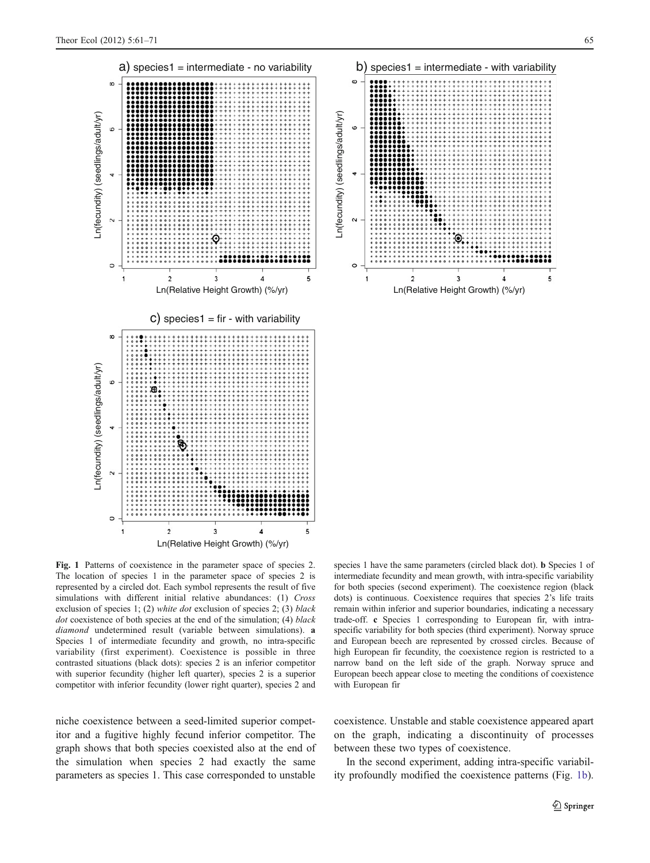5

<span id="page-4-0"></span>

Fig. 1 Patterns of coexistence in the parameter space of species 2. The location of species 1 in the parameter space of species 2 is represented by a circled dot. Each symbol represents the result of five simulations with different initial relative abundances: (1) Cross exclusion of species 1; (2) white dot exclusion of species 2; (3) black dot coexistence of both species at the end of the simulation; (4) black diamond undetermined result (variable between simulations). a Species 1 of intermediate fecundity and growth, no intra-specific variability (first experiment). Coexistence is possible in three contrasted situations (black dots): species 2 is an inferior competitor with superior fecundity (higher left quarter), species 2 is a superior competitor with inferior fecundity (lower right quarter), species 2 and

species 1 have the same parameters (circled black dot). b Species 1 of intermediate fecundity and mean growth, with intra-specific variability for both species (second experiment). The coexistence region (black dots) is continuous. Coexistence requires that species 2's life traits remain within inferior and superior boundaries, indicating a necessary trade-off. c Species 1 corresponding to European fir, with intraspecific variability for both species (third experiment). Norway spruce and European beech are represented by crossed circles. Because of high European fir fecundity, the coexistence region is restricted to a narrow band on the left side of the graph. Norway spruce and European beech appear close to meeting the conditions of coexistence with European fir

niche coexistence between a seed-limited superior competitor and a fugitive highly fecund inferior competitor. The graph shows that both species coexisted also at the end of the simulation when species 2 had exactly the same parameters as species 1. This case corresponded to unstable

coexistence. Unstable and stable coexistence appeared apart on the graph, indicating a discontinuity of processes between these two types of coexistence.

In the second experiment, adding intra-specific variability profoundly modified the coexistence patterns (Fig. 1b).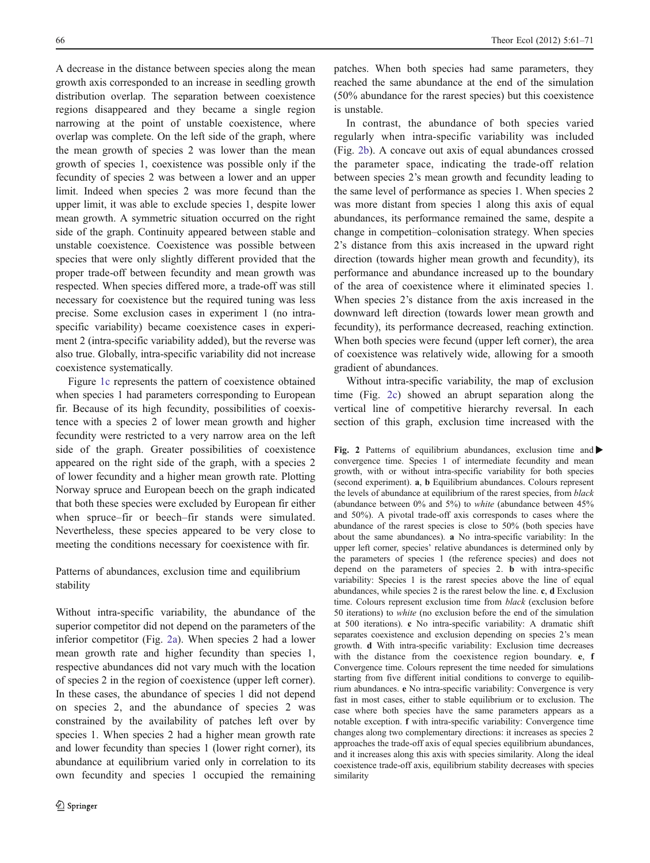<span id="page-5-0"></span>A decrease in the distance between species along the mean growth axis corresponded to an increase in seedling growth distribution overlap. The separation between coexistence regions disappeared and they became a single region narrowing at the point of unstable coexistence, where overlap was complete. On the left side of the graph, where the mean growth of species 2 was lower than the mean growth of species 1, coexistence was possible only if the fecundity of species 2 was between a lower and an upper limit. Indeed when species 2 was more fecund than the upper limit, it was able to exclude species 1, despite lower mean growth. A symmetric situation occurred on the right side of the graph. Continuity appeared between stable and unstable coexistence. Coexistence was possible between species that were only slightly different provided that the proper trade-off between fecundity and mean growth was respected. When species differed more, a trade-off was still necessary for coexistence but the required tuning was less precise. Some exclusion cases in experiment 1 (no intraspecific variability) became coexistence cases in experiment 2 (intra-specific variability added), but the reverse was also true. Globally, intra-specific variability did not increase coexistence systematically.

Figure [1c](#page-4-0) represents the pattern of coexistence obtained when species 1 had parameters corresponding to European fir. Because of its high fecundity, possibilities of coexistence with a species 2 of lower mean growth and higher fecundity were restricted to a very narrow area on the left side of the graph. Greater possibilities of coexistence appeared on the right side of the graph, with a species 2 of lower fecundity and a higher mean growth rate. Plotting Norway spruce and European beech on the graph indicated that both these species were excluded by European fir either when spruce–fir or beech–fir stands were simulated. Nevertheless, these species appeared to be very close to meeting the conditions necessary for coexistence with fir.

Patterns of abundances, exclusion time and equilibrium stability

Without intra-specific variability, the abundance of the superior competitor did not depend on the parameters of the inferior competitor (Fig. 2a). When species 2 had a lower mean growth rate and higher fecundity than species 1, respective abundances did not vary much with the location of species 2 in the region of coexistence (upper left corner). In these cases, the abundance of species 1 did not depend on species 2, and the abundance of species 2 was constrained by the availability of patches left over by species 1. When species 2 had a higher mean growth rate and lower fecundity than species 1 (lower right corner), its abundance at equilibrium varied only in correlation to its own fecundity and species 1 occupied the remaining

patches. When both species had same parameters, they reached the same abundance at the end of the simulation (50% abundance for the rarest species) but this coexistence is unstable.

In contrast, the abundance of both species varied regularly when intra-specific variability was included (Fig. 2b). A concave out axis of equal abundances crossed the parameter space, indicating the trade-off relation between species 2's mean growth and fecundity leading to the same level of performance as species 1. When species 2 was more distant from species 1 along this axis of equal abundances, its performance remained the same, despite a change in competition–colonisation strategy. When species 2's distance from this axis increased in the upward right direction (towards higher mean growth and fecundity), its performance and abundance increased up to the boundary of the area of coexistence where it eliminated species 1. When species 2's distance from the axis increased in the downward left direction (towards lower mean growth and fecundity), its performance decreased, reaching extinction. When both species were fecund (upper left corner), the area of coexistence was relatively wide, allowing for a smooth gradient of abundances.

Without intra-specific variability, the map of exclusion time (Fig. 2c) showed an abrupt separation along the vertical line of competitive hierarchy reversal. In each section of this graph, exclusion time increased with the

Fig. 2 Patterns of equilibrium abundances, exclusion time and convergence time. Species 1 of intermediate fecundity and mean growth, with or without intra-specific variability for both species (second experiment). a, b Equilibrium abundances. Colours represent the levels of abundance at equilibrium of the rarest species, from black (abundance between 0% and 5%) to white (abundance between 45% and 50%). A pivotal trade-off axis corresponds to cases where the abundance of the rarest species is close to 50% (both species have about the same abundances). a No intra-specific variability: In the upper left corner, species' relative abundances is determined only by the parameters of species 1 (the reference species) and does not depend on the parameters of species 2. b with intra-specific variability: Species 1 is the rarest species above the line of equal abundances, while species 2 is the rarest below the line. c, d Exclusion time. Colours represent exclusion time from black (exclusion before 50 iterations) to white (no exclusion before the end of the simulation at 500 iterations). c No intra-specific variability: A dramatic shift separates coexistence and exclusion depending on species 2's mean growth. d With intra-specific variability: Exclusion time decreases with the distance from the coexistence region boundary. e, f Convergence time. Colours represent the time needed for simulations starting from five different initial conditions to converge to equilibrium abundances. e No intra-specific variability: Convergence is very fast in most cases, either to stable equilibrium or to exclusion. The case where both species have the same parameters appears as a notable exception. f with intra-specific variability: Convergence time changes along two complementary directions: it increases as species 2 approaches the trade-off axis of equal species equilibrium abundances, and it increases along this axis with species similarity. Along the ideal coexistence trade-off axis, equilibrium stability decreases with species similarity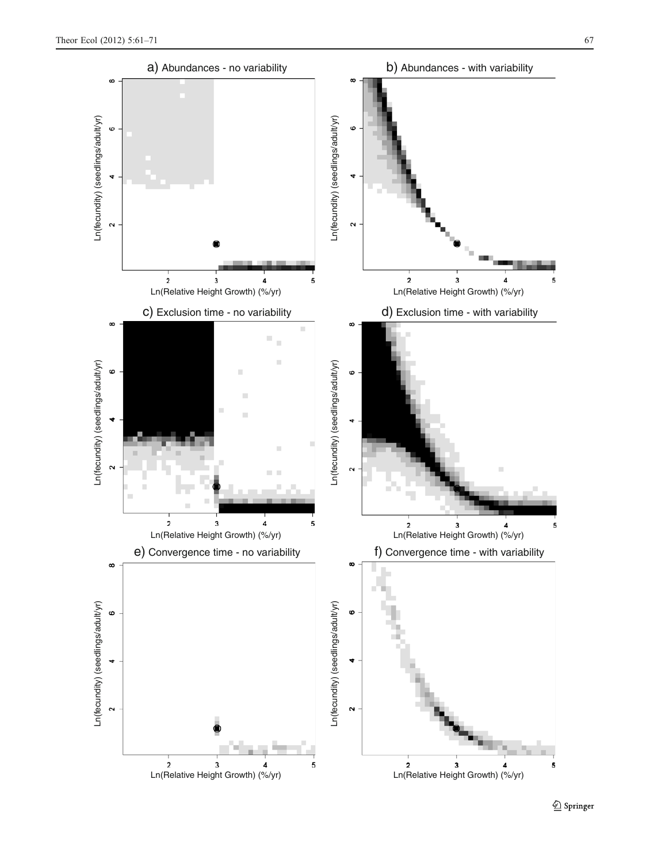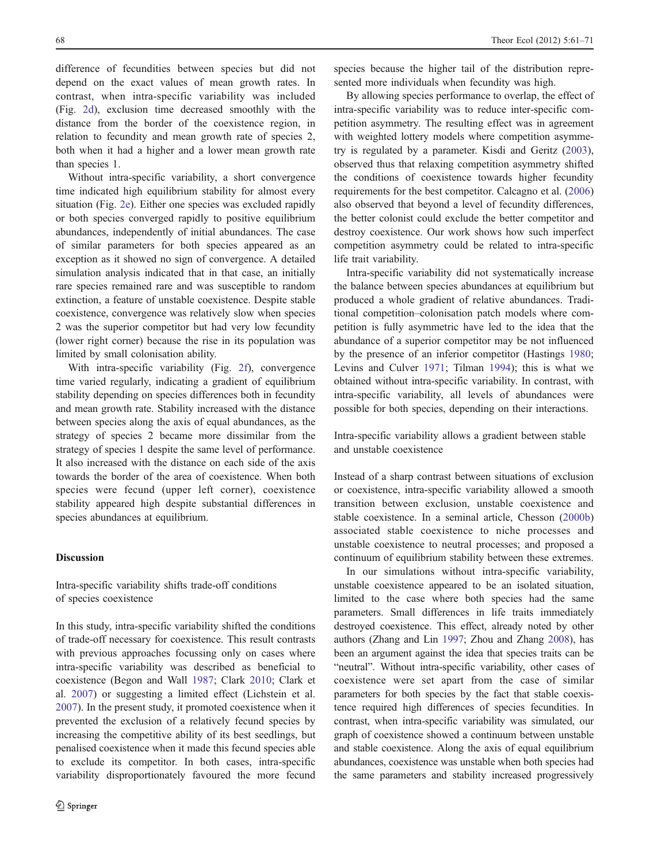difference of fecundities between species but did not depend on the exact values of mean growth rates. In contrast, when intra-specific variability was included (Fig. [2d](#page-5-0)), exclusion time decreased smoothly with the distance from the border of the coexistence region, in relation to fecundity and mean growth rate of species 2, both when it had a higher and a lower mean growth rate than species 1.

Without intra-specific variability, a short convergence time indicated high equilibrium stability for almost every situation (Fig. [2e](#page-5-0)). Either one species was excluded rapidly or both species converged rapidly to positive equilibrium abundances, independently of initial abundances. The case of similar parameters for both species appeared as an exception as it showed no sign of convergence. A detailed simulation analysis indicated that in that case, an initially rare species remained rare and was susceptible to random extinction, a feature of unstable coexistence. Despite stable coexistence, convergence was relatively slow when species 2 was the superior competitor but had very low fecundity (lower right corner) because the rise in its population was limited by small colonisation ability.

With intra-specific variability (Fig. [2f](#page-5-0)), convergence time varied regularly, indicating a gradient of equilibrium stability depending on species differences both in fecundity and mean growth rate. Stability increased with the distance between species along the axis of equal abundances, as the strategy of species 2 became more dissimilar from the strategy of species 1 despite the same level of performance. It also increased with the distance on each side of the axis towards the border of the area of coexistence. When both species were fecund (upper left corner), coexistence stability appeared high despite substantial differences in species abundances at equilibrium.

### Discussion

Intra-specific variability shifts trade-off conditions of species coexistence

In this study, intra-specific variability shifted the conditions of trade-off necessary for coexistence. This result contrasts with previous approaches focussing only on cases where intra-specific variability was described as beneficial to coexistence (Begon and Wall [1987;](#page-9-0) Clark [2010](#page-9-0); Clark et al. [2007](#page-9-0)) or suggesting a limited effect (Lichstein et al. [2007\)](#page-9-0). In the present study, it promoted coexistence when it prevented the exclusion of a relatively fecund species by increasing the competitive ability of its best seedlings, but penalised coexistence when it made this fecund species able to exclude its competitor. In both cases, intra-specific variability disproportionately favoured the more fecund

species because the higher tail of the distribution represented more individuals when fecundity was high.

By allowing species performance to overlap, the effect of intra-specific variability was to reduce inter-specific competition asymmetry. The resulting effect was in agreement with weighted lottery models where competition asymmetry is regulated by a parameter. Kisdi and Geritz ([2003\)](#page-9-0), observed thus that relaxing competition asymmetry shifted the conditions of coexistence towards higher fecundity requirements for the best competitor. Calcagno et al. [\(2006](#page-9-0)) also observed that beyond a level of fecundity differences, the better colonist could exclude the better competitor and destroy coexistence. Our work shows how such imperfect competition asymmetry could be related to intra-specific life trait variability.

Intra-specific variability did not systematically increase the balance between species abundances at equilibrium but produced a whole gradient of relative abundances. Traditional competition–colonisation patch models where competition is fully asymmetric have led to the idea that the abundance of a superior competitor may be not influenced by the presence of an inferior competitor (Hastings [1980;](#page-9-0) Levins and Culver [1971](#page-9-0); Tilman [1994](#page-10-0)); this is what we obtained without intra-specific variability. In contrast, with intra-specific variability, all levels of abundances were possible for both species, depending on their interactions.

Intra-specific variability allows a gradient between stable and unstable coexistence

Instead of a sharp contrast between situations of exclusion or coexistence, intra-specific variability allowed a smooth transition between exclusion, unstable coexistence and stable coexistence. In a seminal article, Chesson [\(2000b](#page-9-0)) associated stable coexistence to niche processes and unstable coexistence to neutral processes; and proposed a continuum of equilibrium stability between these extremes.

In our simulations without intra-specific variability, unstable coexistence appeared to be an isolated situation, limited to the case where both species had the same parameters. Small differences in life traits immediately destroyed coexistence. This effect, already noted by other authors (Zhang and Lin [1997;](#page-10-0) Zhou and Zhang [2008\)](#page-10-0), has been an argument against the idea that species traits can be "neutral". Without intra-specific variability, other cases of coexistence were set apart from the case of similar parameters for both species by the fact that stable coexistence required high differences of species fecundities. In contrast, when intra-specific variability was simulated, our graph of coexistence showed a continuum between unstable and stable coexistence. Along the axis of equal equilibrium abundances, coexistence was unstable when both species had the same parameters and stability increased progressively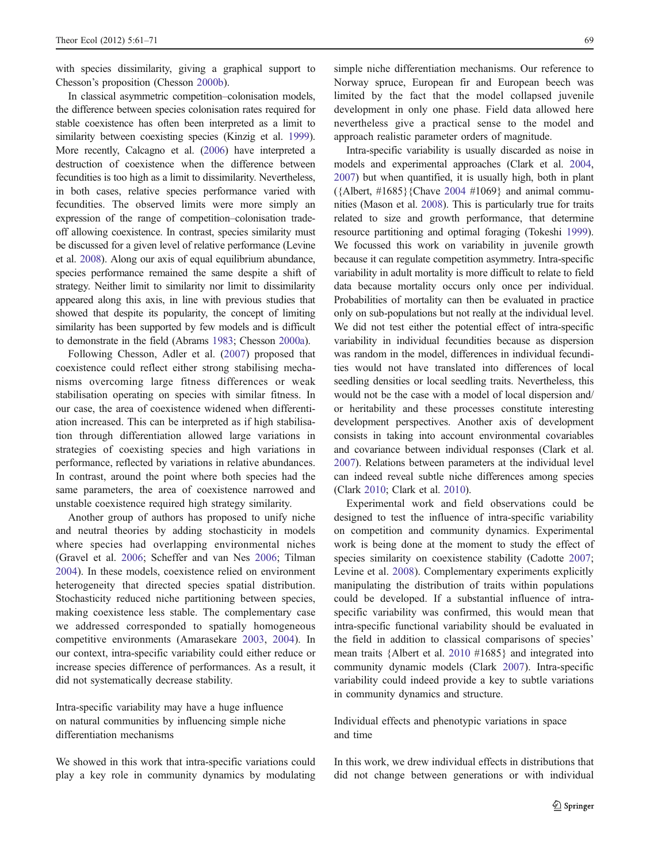with species dissimilarity, giving a graphical support to Chesson's proposition (Chesson [2000b\)](#page-9-0).

In classical asymmetric competition–colonisation models, the difference between species colonisation rates required for stable coexistence has often been interpreted as a limit to similarity between coexisting species (Kinzig et al. [1999\)](#page-9-0). More recently, Calcagno et al. ([2006](#page-9-0)) have interpreted a destruction of coexistence when the difference between fecundities is too high as a limit to dissimilarity. Nevertheless, in both cases, relative species performance varied with fecundities. The observed limits were more simply an expression of the range of competition–colonisation tradeoff allowing coexistence. In contrast, species similarity must be discussed for a given level of relative performance (Levine et al. [2008\)](#page-9-0). Along our axis of equal equilibrium abundance, species performance remained the same despite a shift of strategy. Neither limit to similarity nor limit to dissimilarity appeared along this axis, in line with previous studies that showed that despite its popularity, the concept of limiting similarity has been supported by few models and is difficult to demonstrate in the field (Abrams [1983;](#page-9-0) Chesson [2000a](#page-9-0)).

Following Chesson, Adler et al. [\(2007](#page-9-0)) proposed that coexistence could reflect either strong stabilising mechanisms overcoming large fitness differences or weak stabilisation operating on species with similar fitness. In our case, the area of coexistence widened when differentiation increased. This can be interpreted as if high stabilisation through differentiation allowed large variations in strategies of coexisting species and high variations in performance, reflected by variations in relative abundances. In contrast, around the point where both species had the same parameters, the area of coexistence narrowed and unstable coexistence required high strategy similarity.

Another group of authors has proposed to unify niche and neutral theories by adding stochasticity in models where species had overlapping environmental niches (Gravel et al. [2006](#page-9-0); Scheffer and van Nes [2006;](#page-9-0) Tilman [2004\)](#page-10-0). In these models, coexistence relied on environment heterogeneity that directed species spatial distribution. Stochasticity reduced niche partitioning between species, making coexistence less stable. The complementary case we addressed corresponded to spatially homogeneous competitive environments (Amarasekare [2003](#page-9-0), [2004\)](#page-9-0). In our context, intra-specific variability could either reduce or increase species difference of performances. As a result, it did not systematically decrease stability.

Intra-specific variability may have a huge influence on natural communities by influencing simple niche differentiation mechanisms

We showed in this work that intra-specific variations could play a key role in community dynamics by modulating simple niche differentiation mechanisms. Our reference to Norway spruce, European fir and European beech was limited by the fact that the model collapsed juvenile development in only one phase. Field data allowed here nevertheless give a practical sense to the model and approach realistic parameter orders of magnitude.

Intra-specific variability is usually discarded as noise in models and experimental approaches (Clark et al. [2004,](#page-9-0) [2007\)](#page-9-0) but when quantified, it is usually high, both in plant ({Albert, #1685}{Chave [2004](#page-9-0) #1069} and animal communities (Mason et al. [2008\)](#page-9-0). This is particularly true for traits related to size and growth performance, that determine resource partitioning and optimal foraging (Tokeshi [1999\)](#page-10-0). We focussed this work on variability in juvenile growth because it can regulate competition asymmetry. Intra-specific variability in adult mortality is more difficult to relate to field data because mortality occurs only once per individual. Probabilities of mortality can then be evaluated in practice only on sub-populations but not really at the individual level. We did not test either the potential effect of intra-specific variability in individual fecundities because as dispersion was random in the model, differences in individual fecundities would not have translated into differences of local seedling densities or local seedling traits. Nevertheless, this would not be the case with a model of local dispersion and/ or heritability and these processes constitute interesting development perspectives. Another axis of development consists in taking into account environmental covariables and covariance between individual responses (Clark et al. [2007\)](#page-9-0). Relations between parameters at the individual level can indeed reveal subtle niche differences among species (Clark [2010;](#page-9-0) Clark et al. [2010](#page-9-0)).

Experimental work and field observations could be designed to test the influence of intra-specific variability on competition and community dynamics. Experimental work is being done at the moment to study the effect of species similarity on coexistence stability (Cadotte [2007;](#page-9-0) Levine et al. [2008\)](#page-9-0). Complementary experiments explicitly manipulating the distribution of traits within populations could be developed. If a substantial influence of intraspecific variability was confirmed, this would mean that intra-specific functional variability should be evaluated in the field in addition to classical comparisons of species' mean traits {Albert et al. [2010](#page-9-0) #1685} and integrated into community dynamic models (Clark [2007\)](#page-9-0). Intra-specific variability could indeed provide a key to subtle variations in community dynamics and structure.

Individual effects and phenotypic variations in space and time

In this work, we drew individual effects in distributions that did not change between generations or with individual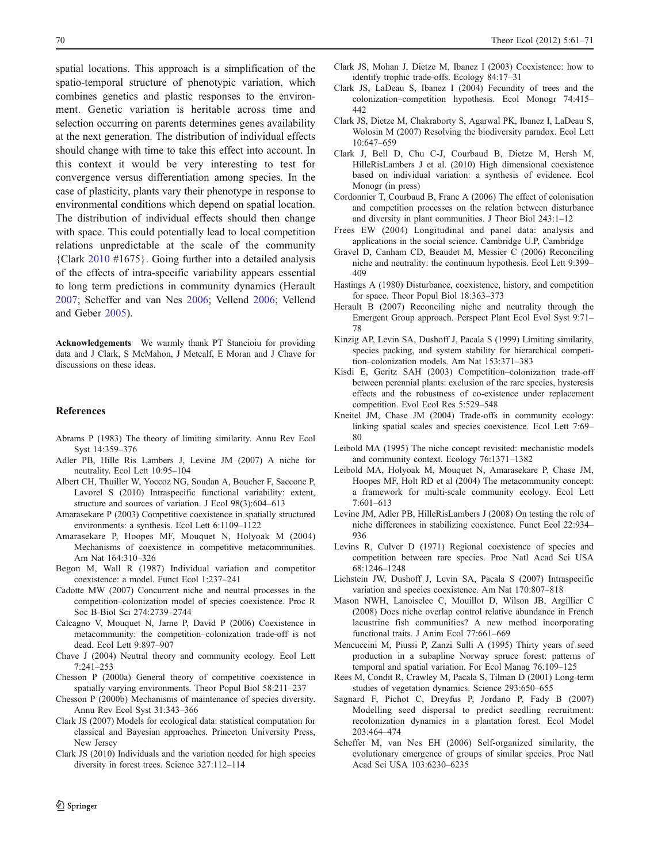<span id="page-9-0"></span>spatial locations. This approach is a simplification of the spatio-temporal structure of phenotypic variation, which combines genetics and plastic responses to the environment. Genetic variation is heritable across time and selection occurring on parents determines genes availability at the next generation. The distribution of individual effects should change with time to take this effect into account. In this context it would be very interesting to test for convergence versus differentiation among species. In the case of plasticity, plants vary their phenotype in response to environmental conditions which depend on spatial location. The distribution of individual effects should then change with space. This could potentially lead to local competition relations unpredictable at the scale of the community {Clark 2010 #1675}. Going further into a detailed analysis of the effects of intra-specific variability appears essential to long term predictions in community dynamics (Herault 2007; Scheffer and van Nes 2006; Vellend [2006](#page-10-0); Vellend and Geber [2005](#page-10-0)).

Acknowledgements We warmly thank PT Stancioiu for providing data and J Clark, S McMahon, J Metcalf, E Moran and J Chave for discussions on these ideas.

#### References

- Abrams P (1983) The theory of limiting similarity. Annu Rev Ecol Syst 14:359–376
- Adler PB, Hille Ris Lambers J, Levine JM (2007) A niche for neutrality. Ecol Lett 10:95–104
- Albert CH, Thuiller W, Yoccoz NG, Soudan A, Boucher F, Saccone P, Lavorel S (2010) Intraspecific functional variability: extent, structure and sources of variation. J Ecol 98(3):604–613
- Amarasekare P (2003) Competitive coexistence in spatially structured environments: a synthesis. Ecol Lett 6:1109–1122
- Amarasekare P, Hoopes MF, Mouquet N, Holyoak M (2004) Mechanisms of coexistence in competitive metacommunities. Am Nat 164:310–326
- Begon M, Wall R (1987) Individual variation and competitor coexistence: a model. Funct Ecol 1:237–241
- Cadotte MW (2007) Concurrent niche and neutral processes in the competition–colonization model of species coexistence. Proc R Soc B-Biol Sci 274:2739–2744
- Calcagno V, Mouquet N, Jarne P, David P (2006) Coexistence in metacommunity: the competition–colonization trade-off is not dead. Ecol Lett 9:897–907
- Chave J (2004) Neutral theory and community ecology. Ecol Lett 7:241–253
- Chesson P (2000a) General theory of competitive coexistence in spatially varying environments. Theor Popul Biol 58:211–237
- Chesson P (2000b) Mechanisms of maintenance of species diversity. Annu Rev Ecol Syst 31:343–366
- Clark JS (2007) Models for ecological data: statistical computation for classical and Bayesian approaches. Princeton University Press, New Jersey
- Clark JS (2010) Individuals and the variation needed for high species diversity in forest trees. Science 327:112–114
- Clark JS, Mohan J, Dietze M, Ibanez I (2003) Coexistence: how to identify trophic trade-offs. Ecology 84:17–31
- Clark JS, LaDeau S, Ibanez I (2004) Fecundity of trees and the colonization–competition hypothesis. Ecol Monogr 74:415– 442
- Clark JS, Dietze M, Chakraborty S, Agarwal PK, Ibanez I, LaDeau S, Wolosin M (2007) Resolving the biodiversity paradox. Ecol Lett 10:647–659
- Clark J, Bell D, Chu C-J, Courbaud B, Dietze M, Hersh M, HilleRisLambers J et al. (2010) High dimensional coexistence based on individual variation: a synthesis of evidence. Ecol Monogr (in press)
- Cordonnier T, Courbaud B, Franc A (2006) The effect of colonisation and competition processes on the relation between disturbance and diversity in plant communities. J Theor Biol 243:1–12
- Frees EW (2004) Longitudinal and panel data: analysis and applications in the social science. Cambridge U.P, Cambridge
- Gravel D, Canham CD, Beaudet M, Messier C (2006) Reconciling niche and neutrality: the continuum hypothesis. Ecol Lett 9:399– 409
- Hastings A (1980) Disturbance, coexistence, history, and competition for space. Theor Popul Biol 18:363–373
- Herault B (2007) Reconciling niche and neutrality through the Emergent Group approach. Perspect Plant Ecol Evol Syst 9:71– 78
- Kinzig AP, Levin SA, Dushoff J, Pacala S (1999) Limiting similarity, species packing, and system stability for hierarchical competition–colonization models. Am Nat 153:371–383
- Kisdi E, Geritz SAH (2003) Competition–colonization trade-off between perennial plants: exclusion of the rare species, hysteresis effects and the robustness of co-existence under replacement competition. Evol Ecol Res 5:529–548
- Kneitel JM, Chase JM (2004) Trade-offs in community ecology: linking spatial scales and species coexistence. Ecol Lett 7:69– 80
- Leibold MA (1995) The niche concept revisited: mechanistic models and community context. Ecology 76:1371–1382
- Leibold MA, Holyoak M, Mouquet N, Amarasekare P, Chase JM, Hoopes MF, Holt RD et al (2004) The metacommunity concept: a framework for multi-scale community ecology. Ecol Lett 7:601–613
- Levine JM, Adler PB, HilleRisLambers J (2008) On testing the role of niche differences in stabilizing coexistence. Funct Ecol 22:934– 936
- Levins R, Culver D (1971) Regional coexistence of species and competition between rare species. Proc Natl Acad Sci USA 68:1246–1248
- Lichstein JW, Dushoff J, Levin SA, Pacala S (2007) Intraspecific variation and species coexistence. Am Nat 170:807–818
- Mason NWH, Lanoiselee C, Mouillot D, Wilson JB, Argillier C (2008) Does niche overlap control relative abundance in French lacustrine fish communities? A new method incorporating functional traits. J Anim Ecol 77:661–669
- Mencuccini M, Piussi P, Zanzi Sulli A (1995) Thirty years of seed production in a subapline Norway spruce forest: patterns of temporal and spatial variation. For Ecol Manag 76:109–125
- Rees M, Condit R, Crawley M, Pacala S, Tilman D (2001) Long-term studies of vegetation dynamics. Science 293:650–655
- Sagnard F, Pichot C, Dreyfus P, Jordano P, Fady B (2007) Modelling seed dispersal to predict seedling recruitment: recolonization dynamics in a plantation forest. Ecol Model 203:464–474
- Scheffer M, van Nes EH (2006) Self-organized similarity, the evolutionary emergence of groups of similar species. Proc Natl Acad Sci USA 103:6230–6235